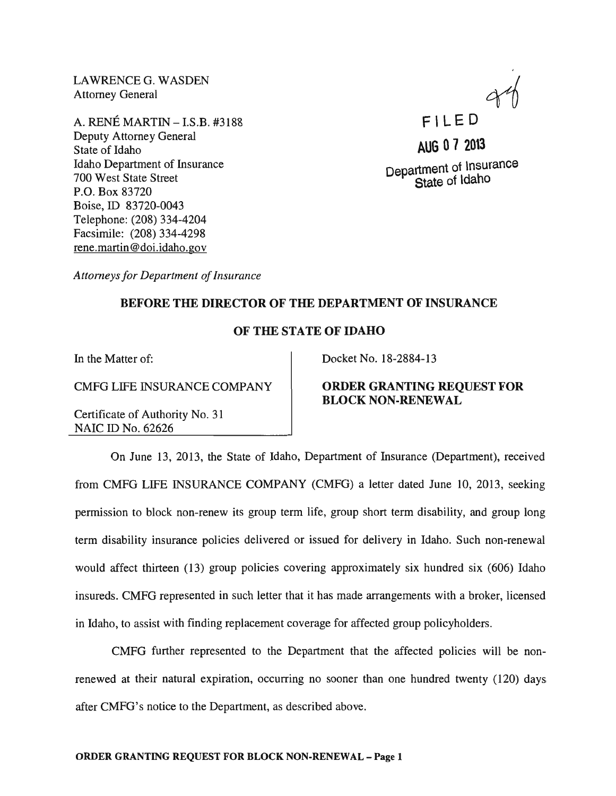LAWRENCE G. WASDEN Attorney General

A. RENE MARTIN -I.S.B. #3188 Deputy Attorney General State of Idaho Idaho Department of Insurance 700 West State Street P.O. Box 83720 Boise, ID 83720-0043 Telephone: (208) 334-4204 Facsimile: (208) 334-4298 rene.martin@doi.idaho.gov

F' LED

**AUG 07 2013**  Department of lnsurance State of ldaho

*Attorneys for Department of Insurance* 

# BEFORE THE DIRECTOR OF THE DEPARTMENT OF INSURANCE

# OF THE STATE OF IDAHO

In the Matter of:

CMFG LIFE INSURANCE COMPANY

Certificate of Authority No. 31 NAIC ID No. 62626

Docket No. 18-2884-13

# ORDER GRANTING REQUEST FOR BLOCK NON-RENEWAL

On June 13, 2013, the State of Idaho, Department of Insurance (Department), received from CMFG LIFE INSURANCE COMPANY (CMFG) a letter dated June 10,2013, seeking permission to block non-renew its group term life, group short term disability, and group long term disability insurance policies delivered or issued for delivery in Idaho. Such non-renewal would affect thirteen (13) group policies covering approximately six hundred six (606) Idaho insureds. CMFG represented in such letter that it has made arrangements with a broker, licensed in Idaho, to assist with finding replacement coverage for affected group policyholders.

CMFG further represented to the Department that the affected policies will be nonrenewed at their natural expiration, occurring no sooner than one hundred twenty (120) days after CMFG's notice to the Department, as described above.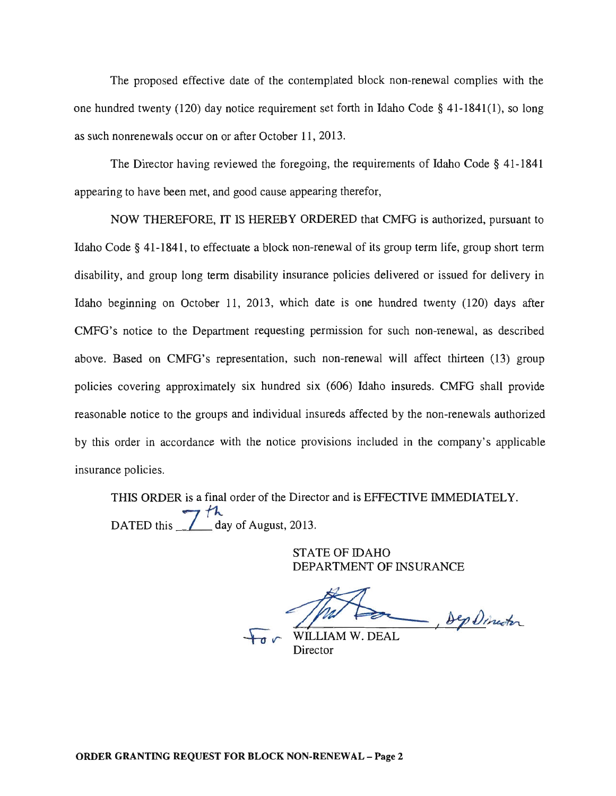The proposed effective date of the contemplated block non-renewal complies with the one hundred twenty (120) day notice requirement set forth in Idaho Code § 41-1841(1), so long as such nonrenewals occur on or after October 11, 2013.

The Director having reviewed the foregoing, the requirements of Idaho Code § 41-1841 appearing to have been met, and good cause appearing therefor,

NOW THEREFORE, IT IS HEREBY ORDERED that CMFG is authorized, pursuant to Idaho Code § 41-1841, to effectuate a block non-renewal of its group term life, group short term disability, and group long term disability insurance policies delivered or issued for delivery in Idaho beginning on October 11, 2013, which date is one hundred twenty (120) days after CMFG's notice to the Department requesting permission for such non-renewal, as described above. Based on CMFG's representation, such non-renewal will affect thirteen (13) group policies covering approximately six hundred six (606) Idaho insureds. CMFG shall provide reasonable notice to the groups and individual insureds affected by the non-renewals authorized by this order in accordance with the notice provisions included in the company's applicable insurance policies.

THIS ORDER is a final order of the Director and is EFFECTIVE IMMEDIATELY. DATED this  $\frac{1}{\sqrt{2}}$  day of August, 2013.

> STATE OF IDAHO DEPARTMENT OF INSURANCE

 $\sim$  $\overline{b}$ , by Director

 $\overline{t_{\sigma}}$  wILLIAM W. DEAL Director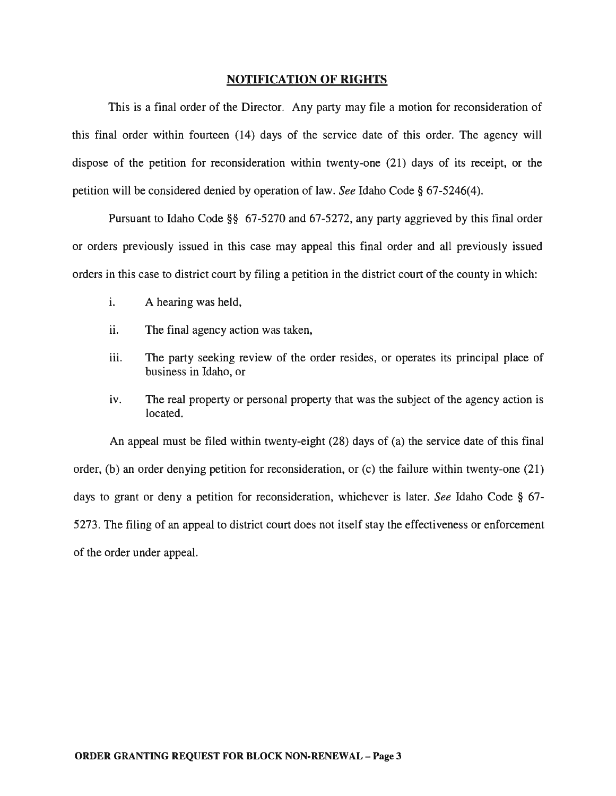#### NOTIFICATION OF RIGHTS

This is a final order of the Director. Any party may file a motion for reconsideration of this final order within fourteen (14) days of the service date of this order. The agency will dispose of the petition for reconsideration within twenty-one (21) days of its receipt, or the petition will be considered denied by operation of law. *See* Idaho Code § 67-5246(4).

Pursuant to Idaho Code §§ 67-5270 and 67-5272, any party aggrieved by this final order or orders previously issued in this case may appeal this final order and all previously issued orders in this case to district court by filing a petition in the district court of the county in which:

- i. A hearing was held,
- ii. The final agency action was taken,
- iii. The party seeking review of the order resides, or operates its principal place of business in Idaho, or
- iv. The real property or personal property that was the subject of the agency action is located.

An appeal must be filed within twenty-eight (28) days of (a) the service date of this final order, (b) an order denying petition for reconsideration, or (c) the failure within twenty-one (21) days to grant or deny a petition for reconsideration, whichever is later. *See* Idaho Code § 67- 5273. The filing of an appeal to district court does not itself stay the effectiveness or enforcement of the order under appeal.